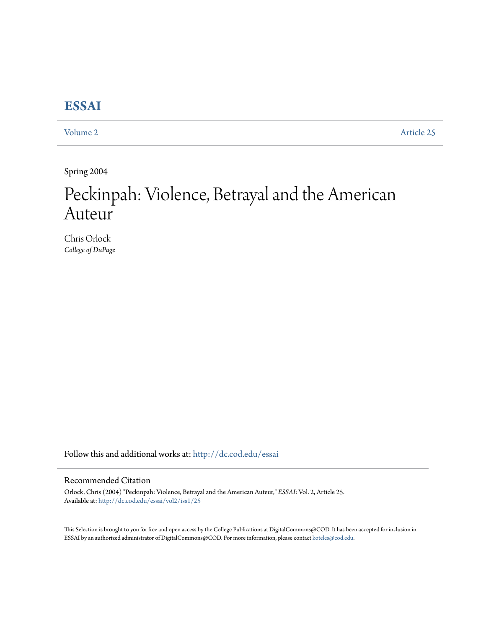## **[ESSAI](http://dc.cod.edu/essai?utm_source=dc.cod.edu%2Fessai%2Fvol2%2Fiss1%2F25&utm_medium=PDF&utm_campaign=PDFCoverPages)**

[Volume 2](http://dc.cod.edu/essai/vol2?utm_source=dc.cod.edu%2Fessai%2Fvol2%2Fiss1%2F25&utm_medium=PDF&utm_campaign=PDFCoverPages) [Article 25](http://dc.cod.edu/essai/vol2/iss1/25?utm_source=dc.cod.edu%2Fessai%2Fvol2%2Fiss1%2F25&utm_medium=PDF&utm_campaign=PDFCoverPages)

Spring 2004

# Peckinpah: Violence, Betrayal and the American Auteur

Chris Orlock *College of DuPage*

Follow this and additional works at: [http://dc.cod.edu/essai](http://dc.cod.edu/essai?utm_source=dc.cod.edu%2Fessai%2Fvol2%2Fiss1%2F25&utm_medium=PDF&utm_campaign=PDFCoverPages)

### Recommended Citation

Orlock, Chris (2004) "Peckinpah: Violence, Betrayal and the American Auteur," *ESSAI*: Vol. 2, Article 25. Available at: [http://dc.cod.edu/essai/vol2/iss1/25](http://dc.cod.edu/essai/vol2/iss1/25?utm_source=dc.cod.edu%2Fessai%2Fvol2%2Fiss1%2F25&utm_medium=PDF&utm_campaign=PDFCoverPages)

This Selection is brought to you for free and open access by the College Publications at DigitalCommons@COD. It has been accepted for inclusion in ESSAI by an authorized administrator of DigitalCommons@COD. For more information, please contact [koteles@cod.edu](mailto:koteles@cod.edu).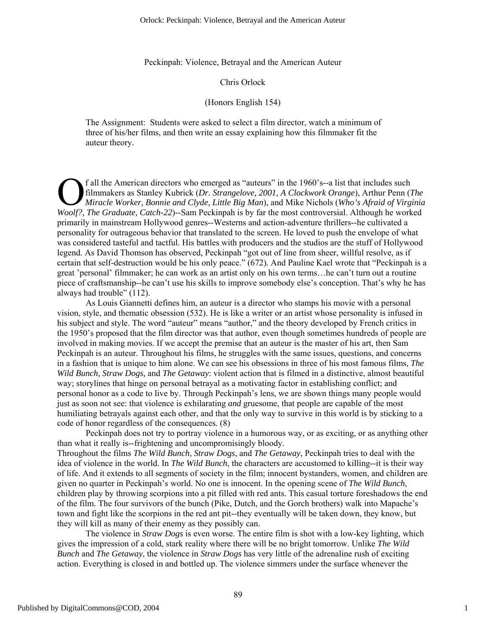Peckinpah: Violence, Betrayal and the American Auteur

#### Chris Orlock

#### (Honors English 154)

The Assignment: Students were asked to select a film director, watch a minimum of three of his/her films, and then write an essay explaining how this filmmaker fit the auteur theory.

f all the American directors who emerged as "auteurs" in the 1960's--a list that includes such filmmakers as Stanley Kubrick (*Dr. Strangelove, 2001, A Clockwork Orange*), Arthur Penn (*The Miracle Worker, Bonnie and Clyde, Little Big Man*), and Mike Nichols (*Who's Afraid of Virginia*  **Coolf?**, *The American directors who emerged as "auteurs" in the 1960's--a list that includes such filmmakers as Stanley Kubrick (<i>Dr. Strangelove, 2001, A Clockwork Orange*), Arthur Penn (*The Miracle Worker, Bonnie and* primarily in mainstream Hollywood genres--Westerns and action-adventure thrillers--he cultivated a personality for outrageous behavior that translated to the screen. He loved to push the envelope of what was considered tasteful and tactful. His battles with producers and the studios are the stuff of Hollywood legend. As David Thomson has observed, Peckinpah "got out of line from sheer, willful resolve, as if certain that self-destruction would be his only peace." (672)*.* And Pauline Kael wrote that "Peckinpah is a great 'personal' filmmaker; he can work as an artist only on his own terms…he can't turn out a routine piece of craftsmanship--he can't use his skills to improve somebody else's conception. That's why he has always had trouble" (112).

As Louis Giannetti defines him, an auteur is a director who stamps his movie with a personal vision, style, and thematic obsession (532). He is like a writer or an artist whose personality is infused in his subject and style. The word "auteur" means "author," and the theory developed by French critics in the 1950's proposed that the film director was that author, even though sometimes hundreds of people are involved in making movies. If we accept the premise that an auteur is the master of his art, then Sam Peckinpah is an auteur. Throughout his films, he struggles with the same issues, questions, and concerns in a fashion that is unique to him alone. We can see his obsessions in three of his most famous films, *The Wild Bunch, Straw Dogs,* and *The Getaway*: violent action that is filmed in a distinctive, almost beautiful way; storylines that hinge on personal betrayal as a motivating factor in establishing conflict; and personal honor as a code to live by. Through Peckinpah's lens, we are shown things many people would just as soon not see: that violence is exhilarating *and* gruesome, that people are capable of the most humiliating betrayals against each other, and that the only way to survive in this world is by sticking to a code of honor regardless of the consequences. (8)

Peckinpah does not try to portray violence in a humorous way, or as exciting, or as anything other than what it really is--frightening and uncompromisingly bloody. Throughout the films *The Wild Bunch*, *Straw Dogs*, and *The Getaway*, Peckinpah tries to deal with the idea of violence in the world. In *The Wild Bunch*, the characters are accustomed to killing--it is their way of life. And it extends to all segments of society in the film; innocent bystanders, women, and children are given no quarter in Peckinpah's world. No one is innocent. In the opening scene of *The Wild Bunch*, children play by throwing scorpions into a pit filled with red ants. This casual torture foreshadows the end of the film. The four survivors of the bunch (Pike, Dutch, and the Gorch brothers) walk into Mapache's town and fight like the scorpions in the red ant pit--they eventually will be taken down, they know, but

The violence in *Straw Dogs* is even worse. The entire film is shot with a low-key lighting, which gives the impression of a cold, stark reality where there will be no bright tomorrow. Unlike *The Wild Bunch* and *The Getaway*, the violence in *Straw Dogs* has very little of the adrenaline rush of exciting action. Everything is closed in and bottled up. The violence simmers under the surface whenever the

they will kill as many of their enemy as they possibly can.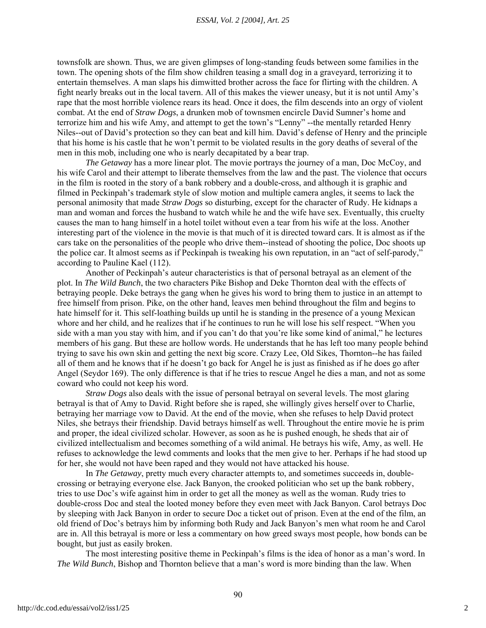townsfolk are shown. Thus, we are given glimpses of long-standing feuds between some families in the town. The opening shots of the film show children teasing a small dog in a graveyard, terrorizing it to entertain themselves. A man slaps his dimwitted brother across the face for flirting with the children. A fight nearly breaks out in the local tavern. All of this makes the viewer uneasy, but it is not until Amy's rape that the most horrible violence rears its head. Once it does, the film descends into an orgy of violent combat. At the end of *Straw Dogs*, a drunken mob of townsmen encircle David Sumner's home and terrorize him and his wife Amy, and attempt to get the town's "Lenny" --the mentally retarded Henry Niles--out of David's protection so they can beat and kill him. David's defense of Henry and the principle that his home is his castle that he won't permit to be violated results in the gory deaths of several of the men in this mob, including one who is nearly decapitated by a bear trap.

*The Getaway* has a more linear plot. The movie portrays the journey of a man, Doc McCoy, and his wife Carol and their attempt to liberate themselves from the law and the past. The violence that occurs in the film is rooted in the story of a bank robbery and a double-cross, and although it is graphic and filmed in Peckinpah's trademark style of slow motion and multiple camera angles, it seems to lack the personal animosity that made *Straw Dogs* so disturbing, except for the character of Rudy. He kidnaps a man and woman and forces the husband to watch while he and the wife have sex. Eventually, this cruelty causes the man to hang himself in a hotel toilet without even a tear from his wife at the loss. Another interesting part of the violence in the movie is that much of it is directed toward cars. It is almost as if the cars take on the personalities of the people who drive them--instead of shooting the police, Doc shoots up the police car. It almost seems as if Peckinpah is tweaking his own reputation, in an "act of self-parody," according to Pauline Kael (112).

Another of Peckinpah's auteur characteristics is that of personal betrayal as an element of the plot. In *The Wild Bunch*, the two characters Pike Bishop and Deke Thornton deal with the effects of betraying people. Deke betrays the gang when he gives his word to bring them to justice in an attempt to free himself from prison. Pike, on the other hand, leaves men behind throughout the film and begins to hate himself for it. This self-loathing builds up until he is standing in the presence of a young Mexican whore and her child, and he realizes that if he continues to run he will lose his self respect. "When you side with a man you stay with him, and if you can't do that you're like some kind of animal," he lectures members of his gang. But these are hollow words. He understands that he has left too many people behind trying to save his own skin and getting the next big score. Crazy Lee, Old Sikes, Thornton--he has failed all of them and he knows that if he doesn't go back for Angel he is just as finished as if he does go after Angel (Seydor 169). The only difference is that if he tries to rescue Angel he dies a man, and not as some coward who could not keep his word.

*Straw Dogs* also deals with the issue of personal betrayal on several levels. The most glaring betrayal is that of Amy to David. Right before she is raped, she willingly gives herself over to Charlie, betraying her marriage vow to David. At the end of the movie, when she refuses to help David protect Niles, she betrays their friendship. David betrays himself as well. Throughout the entire movie he is prim and proper, the ideal civilized scholar. However, as soon as he is pushed enough, he sheds that air of civilized intellectualism and becomes something of a wild animal. He betrays his wife, Amy, as well. He refuses to acknowledge the lewd comments and looks that the men give to her. Perhaps if he had stood up for her, she would not have been raped and they would not have attacked his house.

 In *The Getaway*, pretty much every character attempts to, and sometimes succeeds in, doublecrossing or betraying everyone else. Jack Banyon, the crooked politician who set up the bank robbery, tries to use Doc's wife against him in order to get all the money as well as the woman. Rudy tries to double-cross Doc and steal the looted money before they even meet with Jack Banyon. Carol betrays Doc by sleeping with Jack Banyon in order to secure Doc a ticket out of prison. Even at the end of the film, an old friend of Doc's betrays him by informing both Rudy and Jack Banyon's men what room he and Carol are in. All this betrayal is more or less a commentary on how greed sways most people, how bonds can be bought, but just as easily broken.

The most interesting positive theme in Peckinpah's films is the idea of honor as a man's word. In *The Wild Bunch*, Bishop and Thornton believe that a man's word is more binding than the law. When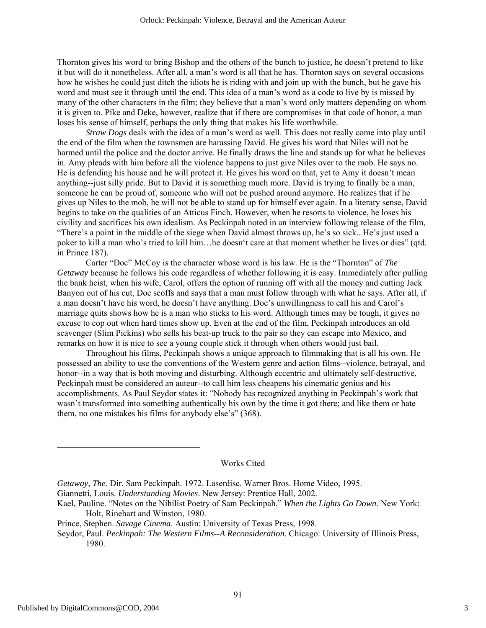Thornton gives his word to bring Bishop and the others of the bunch to justice, he doesn't pretend to like it but will do it nonetheless. After all, a man's word is all that he has. Thornton says on several occasions how he wishes he could just ditch the idiots he is riding with and join up with the bunch, but he gave his word and must see it through until the end. This idea of a man's word as a code to live by is missed by many of the other characters in the film; they believe that a man's word only matters depending on whom it is given to. Pike and Deke, however, realize that if there are compromises in that code of honor, a man loses his sense of himself, perhaps the only thing that makes his life worthwhile.

*Straw Dogs* deals with the idea of a man's word as well. This does not really come into play until the end of the film when the townsmen are harassing David. He gives his word that Niles will not be harmed until the police and the doctor arrive. He finally draws the line and stands up for what he believes in. Amy pleads with him before all the violence happens to just give Niles over to the mob. He says no. He is defending his house and he will protect it. He gives his word on that, yet to Amy it doesn't mean anything--just silly pride. But to David it is something much more. David is trying to finally be a man, someone he can be proud of, someone who will not be pushed around anymore. He realizes that if he gives up Niles to the mob, he will not be able to stand up for himself ever again. In a literary sense, David begins to take on the qualities of an Atticus Finch. However, when he resorts to violence, he loses his civility and sacrifices his own idealism. As Peckinpah noted in an interview following release of the film, "There's a point in the middle of the siege when David almost throws up, he's so sick...He's just used a poker to kill a man who's tried to kill him…he doesn't care at that moment whether he lives or dies" (qtd. in Prince 187).

Carter "Doc" McCoy is the character whose word is his law. He is the "Thornton" of *The Getaway* because he follows his code regardless of whether following it is easy. Immediately after pulling the bank heist, when his wife, Carol, offers the option of running off with all the money and cutting Jack Banyon out of his cut, Doc scoffs and says that a man must follow through with what he says. After all, if a man doesn't have his word, he doesn't have anything. Doc's unwillingness to call his and Carol's marriage quits shows how he is a man who sticks to his word. Although times may be tough, it gives no excuse to cop out when hard times show up. Even at the end of the film, Peckinpah introduces an old scavenger (Slim Pickins) who sells his beat-up truck to the pair so they can escape into Mexico, and remarks on how it is nice to see a young couple stick it through when others would just bail.

Throughout his films, Peckinpah shows a unique approach to filmmaking that is all his own. He possessed an ability to use the conventions of the Western genre and action films--violence, betrayal, and honor--in a way that is both moving and disturbing. Although eccentric and ultimately self-destructive, Peckinpah must be considered an auteur--to call him less cheapens his cinematic genius and his accomplishments. As Paul Seydor states it: "Nobody has recognized anything in Peckinpah's work that wasn't transformed into something authentically his own by the time it got there; and like them or hate them, no one mistakes his films for anybody else's" (368).

#### Works Cited

- Kael, Pauline. "Notes on the Nihilist Poetry of Sam Peckinpah." *When the Lights Go Down.* New York: Holt, Rinehart and Winston, 1980.
- Prince, Stephen. *Savage Cinema*. Austin: University of Texas Press, 1998.

*Getaway, The*. Dir. Sam Peckinpah. 1972. Laserdisc. Warner Bros. Home Video, 1995.

Giannetti, Louis. *Understanding Movies*. New Jersey: Prentice Hall, 2002.

Seydor, Paul. *Peckinpah: The Western Films--A Reconsideration*. Chicago: University of Illinois Press, 1980.